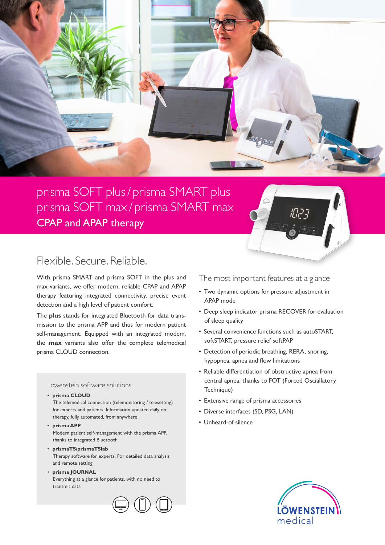

## prisma SOFT plus / prisma SMART plus prisma SOFT max / prisma SMART max CPAP and APAP therapy

## Flexible. Secure. Reliable.

With prisma SMART and prisma SOFT in the plus and max variants, we offer modern, reliable CPAP and APAP therapy featuring integrated connectivity, precise event detection and a high level of patient comfort.

The **plus** stands for integrated Bluetooth for data transmission to the prisma APP and thus for modern patient self-management. Equipped with an integrated modem, the **max** variants also offer the complete telemedical prisma CLOUD connection.

## Löwenstein software solutions

• **prisma CLOUD**

The telemedical connection (telemonitoring / telesetting) for experts and patients. Information updated daily on therapy, fully automated, from anywhere

• **prisma APP** Modern patient self-management with the prisma APP, thanks to integrated Bluetooth

- **prismaTS/prismaTSlab** Therapy software for experts. For detailed data analysis and remote setting
- **prisma JOURNAL** Everything at a glance for patients, with no need to transmit data

The most important features at a glance

רֲ ר**ַ**יְןוֹ

- Two dynamic options for pressure adjustment in APAP mode
- Deep sleep indicator prisma RECOVER for evaluation of sleep quality
- Several convenience functions such as autoSTART, softSTART, pressure relief softPAP
- Detection of periodic breathing, RERA, snoring, hypopnea, apnea and flow limitations
- Reliable differentiation of obstructive apnea from central apnea, thanks to FOT (Forced Osciallatory Technique)
- Extensive range of prisma accessories
- Diverse interfaces (SD, PSG, LAN)
- Unheard-of silence